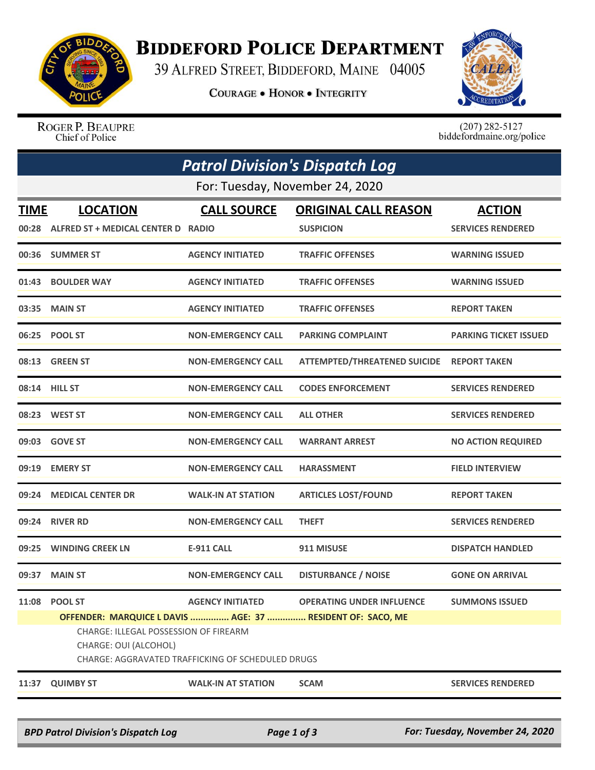

## **BIDDEFORD POLICE DEPARTMENT**

39 ALFRED STREET, BIDDEFORD, MAINE 04005

**COURAGE . HONOR . INTEGRITY** 



ROGER P. BEAUPRE Chief of Police

 $(207)$  282-5127<br>biddefordmaine.org/police

| <b>Patrol Division's Dispatch Log</b> |                                                                                                                                                                                                     |                           |                                                 |                                           |  |  |  |  |
|---------------------------------------|-----------------------------------------------------------------------------------------------------------------------------------------------------------------------------------------------------|---------------------------|-------------------------------------------------|-------------------------------------------|--|--|--|--|
| For: Tuesday, November 24, 2020       |                                                                                                                                                                                                     |                           |                                                 |                                           |  |  |  |  |
| <b>TIME</b><br>00:28                  | <b>LOCATION</b><br>ALFRED ST + MEDICAL CENTER D RADIO                                                                                                                                               | <b>CALL SOURCE</b>        | <b>ORIGINAL CALL REASON</b><br><b>SUSPICION</b> | <b>ACTION</b><br><b>SERVICES RENDERED</b> |  |  |  |  |
| 00:36                                 | <b>SUMMER ST</b>                                                                                                                                                                                    | <b>AGENCY INITIATED</b>   | <b>TRAFFIC OFFENSES</b>                         | <b>WARNING ISSUED</b>                     |  |  |  |  |
| 01:43                                 | <b>BOULDER WAY</b>                                                                                                                                                                                  | <b>AGENCY INITIATED</b>   | <b>TRAFFIC OFFENSES</b>                         | <b>WARNING ISSUED</b>                     |  |  |  |  |
| 03:35                                 | <b>MAIN ST</b>                                                                                                                                                                                      | <b>AGENCY INITIATED</b>   | <b>TRAFFIC OFFENSES</b>                         | <b>REPORT TAKEN</b>                       |  |  |  |  |
|                                       | 06:25 POOL ST                                                                                                                                                                                       | <b>NON-EMERGENCY CALL</b> | <b>PARKING COMPLAINT</b>                        | <b>PARKING TICKET ISSUED</b>              |  |  |  |  |
|                                       | 08:13 GREEN ST                                                                                                                                                                                      | <b>NON-EMERGENCY CALL</b> | <b>ATTEMPTED/THREATENED SUICIDE</b>             | <b>REPORT TAKEN</b>                       |  |  |  |  |
|                                       | 08:14 HILL ST                                                                                                                                                                                       | <b>NON-EMERGENCY CALL</b> | <b>CODES ENFORCEMENT</b>                        | <b>SERVICES RENDERED</b>                  |  |  |  |  |
|                                       | 08:23 WEST ST                                                                                                                                                                                       | <b>NON-EMERGENCY CALL</b> | <b>ALL OTHER</b>                                | <b>SERVICES RENDERED</b>                  |  |  |  |  |
| 09:03                                 | <b>GOVE ST</b>                                                                                                                                                                                      | <b>NON-EMERGENCY CALL</b> | <b>WARRANT ARREST</b>                           | <b>NO ACTION REQUIRED</b>                 |  |  |  |  |
| 09:19                                 | <b>EMERY ST</b>                                                                                                                                                                                     | <b>NON-EMERGENCY CALL</b> | <b>HARASSMENT</b>                               | <b>FIELD INTERVIEW</b>                    |  |  |  |  |
| 09:24                                 | <b>MEDICAL CENTER DR</b>                                                                                                                                                                            | <b>WALK-IN AT STATION</b> | <b>ARTICLES LOST/FOUND</b>                      | <b>REPORT TAKEN</b>                       |  |  |  |  |
| 09:24                                 | <b>RIVER RD</b>                                                                                                                                                                                     | <b>NON-EMERGENCY CALL</b> | <b>THEFT</b>                                    | <b>SERVICES RENDERED</b>                  |  |  |  |  |
| 09:25                                 | <b>WINDING CREEK LN</b>                                                                                                                                                                             | E-911 CALL                | 911 MISUSE                                      | <b>DISPATCH HANDLED</b>                   |  |  |  |  |
| 09:37                                 | <b>MAIN ST</b>                                                                                                                                                                                      | <b>NON-EMERGENCY CALL</b> | <b>DISTURBANCE / NOISE</b>                      | <b>GONE ON ARRIVAL</b>                    |  |  |  |  |
| 11:08                                 | <b>POOL ST</b><br>OFFENDER: MARQUICE L DAVIS  AGE: 37  RESIDENT OF: SACO, ME<br>CHARGE: ILLEGAL POSSESSION OF FIREARM<br>CHARGE: OUI (ALCOHOL)<br>CHARGE: AGGRAVATED TRAFFICKING OF SCHEDULED DRUGS | <b>AGENCY INITIATED</b>   | <b>OPERATING UNDER INFLUENCE</b>                | <b>SUMMONS ISSUED</b>                     |  |  |  |  |
| 11:37                                 | <b>QUIMBY ST</b>                                                                                                                                                                                    | <b>WALK-IN AT STATION</b> | <b>SCAM</b>                                     | <b>SERVICES RENDERED</b>                  |  |  |  |  |
|                                       |                                                                                                                                                                                                     |                           |                                                 |                                           |  |  |  |  |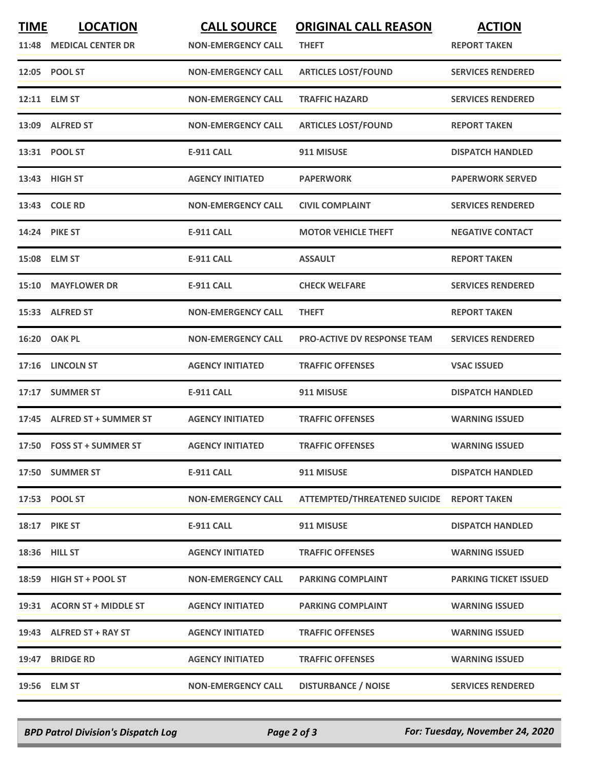| <b>TIME</b><br>11:48 | <b>LOCATION</b><br><b>MEDICAL CENTER DR</b> | <b>CALL SOURCE</b><br><b>NON-EMERGENCY CALL</b> | <b>ORIGINAL CALL REASON</b><br><b>THEFT</b> | <b>ACTION</b><br><b>REPORT TAKEN</b> |
|----------------------|---------------------------------------------|-------------------------------------------------|---------------------------------------------|--------------------------------------|
|                      | 12:05 POOL ST                               | <b>NON-EMERGENCY CALL</b>                       | <b>ARTICLES LOST/FOUND</b>                  | <b>SERVICES RENDERED</b>             |
|                      | 12:11 ELM ST                                | <b>NON-EMERGENCY CALL</b>                       | <b>TRAFFIC HAZARD</b>                       | <b>SERVICES RENDERED</b>             |
|                      | 13:09 ALFRED ST                             | <b>NON-EMERGENCY CALL</b>                       | <b>ARTICLES LOST/FOUND</b>                  | <b>REPORT TAKEN</b>                  |
|                      | 13:31 POOL ST                               | <b>E-911 CALL</b>                               | 911 MISUSE                                  | <b>DISPATCH HANDLED</b>              |
|                      | 13:43 HIGH ST                               | <b>AGENCY INITIATED</b>                         | <b>PAPERWORK</b>                            | <b>PAPERWORK SERVED</b>              |
|                      | 13:43 COLE RD                               | <b>NON-EMERGENCY CALL</b>                       | <b>CIVIL COMPLAINT</b>                      | <b>SERVICES RENDERED</b>             |
|                      | 14:24 PIKE ST                               | <b>E-911 CALL</b>                               | <b>MOTOR VEHICLE THEFT</b>                  | <b>NEGATIVE CONTACT</b>              |
|                      | 15:08 ELM ST                                | <b>E-911 CALL</b>                               | <b>ASSAULT</b>                              | <b>REPORT TAKEN</b>                  |
|                      | 15:10 MAYFLOWER DR                          | <b>E-911 CALL</b>                               | <b>CHECK WELFARE</b>                        | <b>SERVICES RENDERED</b>             |
|                      | 15:33 ALFRED ST                             | <b>NON-EMERGENCY CALL</b>                       | <b>THEFT</b>                                | <b>REPORT TAKEN</b>                  |
|                      | 16:20 OAK PL                                | <b>NON-EMERGENCY CALL</b>                       | <b>PRO-ACTIVE DV RESPONSE TEAM</b>          | <b>SERVICES RENDERED</b>             |
|                      | 17:16 LINCOLN ST                            | <b>AGENCY INITIATED</b>                         | <b>TRAFFIC OFFENSES</b>                     | <b>VSAC ISSUED</b>                   |
| 17:17                | <b>SUMMER ST</b>                            | <b>E-911 CALL</b>                               | 911 MISUSE                                  | <b>DISPATCH HANDLED</b>              |
|                      | 17:45 ALFRED ST + SUMMER ST                 | <b>AGENCY INITIATED</b>                         | <b>TRAFFIC OFFENSES</b>                     | <b>WARNING ISSUED</b>                |
|                      | 17:50 FOSS ST + SUMMER ST                   | <b>AGENCY INITIATED</b>                         | <b>TRAFFIC OFFENSES</b>                     | <b>WARNING ISSUED</b>                |
|                      | 17:50 SUMMER ST                             | <b>E-911 CALL</b>                               | 911 MISUSE                                  | <b>DISPATCH HANDLED</b>              |
|                      | 17:53 POOL ST                               | <b>NON-EMERGENCY CALL</b>                       | ATTEMPTED/THREATENED SUICIDE REPORT TAKEN   |                                      |
|                      | <b>18:17 PIKE ST</b>                        | E-911 CALL                                      | 911 MISUSE                                  | <b>DISPATCH HANDLED</b>              |
|                      | 18:36 HILL ST                               | <b>AGENCY INITIATED</b>                         | <b>TRAFFIC OFFENSES</b>                     | <b>WARNING ISSUED</b>                |
|                      | 18:59 HIGH ST + POOL ST                     | <b>NON-EMERGENCY CALL</b>                       | <b>PARKING COMPLAINT</b>                    | <b>PARKING TICKET ISSUED</b>         |
|                      | 19:31 ACORN ST + MIDDLE ST                  | <b>AGENCY INITIATED</b>                         | <b>PARKING COMPLAINT</b>                    | <b>WARNING ISSUED</b>                |
|                      | 19:43 ALFRED ST + RAY ST                    | <b>AGENCY INITIATED</b>                         | <b>TRAFFIC OFFENSES</b>                     | <b>WARNING ISSUED</b>                |
|                      | 19:47 BRIDGE RD                             | <b>AGENCY INITIATED</b>                         | <b>TRAFFIC OFFENSES</b>                     | <b>WARNING ISSUED</b>                |
|                      | 19:56 ELM ST                                | <b>NON-EMERGENCY CALL</b>                       | <b>DISTURBANCE / NOISE</b>                  | <b>SERVICES RENDERED</b>             |

*BPD Patrol Division's Dispatch Log Page 2 of 3 For: Tuesday, November 24, 2020*